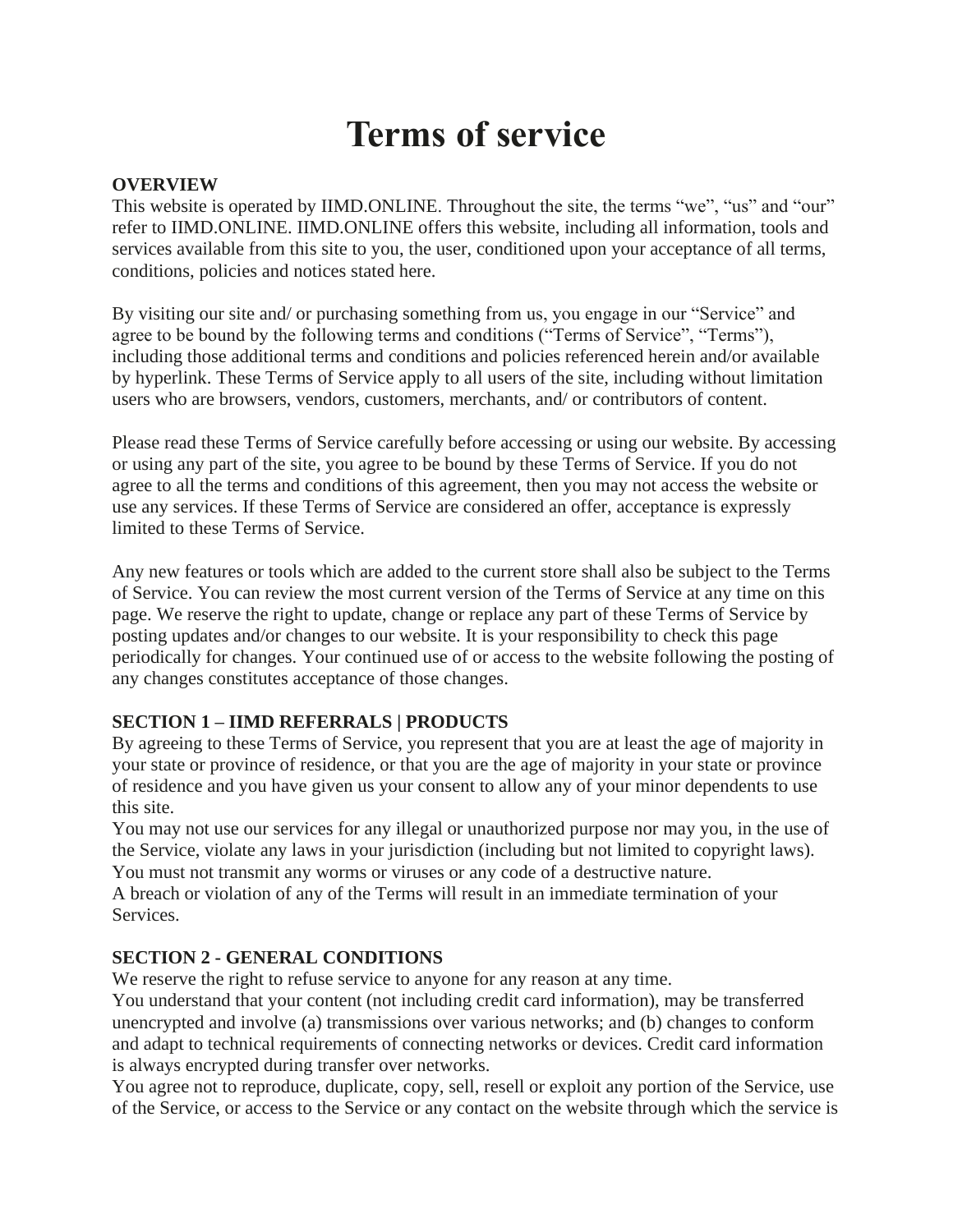# **Terms of service**

#### **OVERVIEW**

This website is operated by IIMD.ONLINE. Throughout the site, the terms "we", "us" and "our" refer to IIMD.ONLINE. IIMD.ONLINE offers this website, including all information, tools and services available from this site to you, the user, conditioned upon your acceptance of all terms, conditions, policies and notices stated here.

By visiting our site and/ or purchasing something from us, you engage in our "Service" and agree to be bound by the following terms and conditions ("Terms of Service", "Terms"), including those additional terms and conditions and policies referenced herein and/or available by hyperlink. These Terms of Service apply to all users of the site, including without limitation users who are browsers, vendors, customers, merchants, and/ or contributors of content.

Please read these Terms of Service carefully before accessing or using our website. By accessing or using any part of the site, you agree to be bound by these Terms of Service. If you do not agree to all the terms and conditions of this agreement, then you may not access the website or use any services. If these Terms of Service are considered an offer, acceptance is expressly limited to these Terms of Service.

Any new features or tools which are added to the current store shall also be subject to the Terms of Service. You can review the most current version of the Terms of Service at any time on this page. We reserve the right to update, change or replace any part of these Terms of Service by posting updates and/or changes to our website. It is your responsibility to check this page periodically for changes. Your continued use of or access to the website following the posting of any changes constitutes acceptance of those changes.

#### **SECTION 1 – IIMD REFERRALS | PRODUCTS**

By agreeing to these Terms of Service, you represent that you are at least the age of majority in your state or province of residence, or that you are the age of majority in your state or province of residence and you have given us your consent to allow any of your minor dependents to use this site.

You may not use our services for any illegal or unauthorized purpose nor may you, in the use of the Service, violate any laws in your jurisdiction (including but not limited to copyright laws). You must not transmit any worms or viruses or any code of a destructive nature.

A breach or violation of any of the Terms will result in an immediate termination of your Services.

#### **SECTION 2 - GENERAL CONDITIONS**

We reserve the right to refuse service to anyone for any reason at any time.

You understand that your content (not including credit card information), may be transferred unencrypted and involve (a) transmissions over various networks; and (b) changes to conform and adapt to technical requirements of connecting networks or devices. Credit card information is always encrypted during transfer over networks.

You agree not to reproduce, duplicate, copy, sell, resell or exploit any portion of the Service, use of the Service, or access to the Service or any contact on the website through which the service is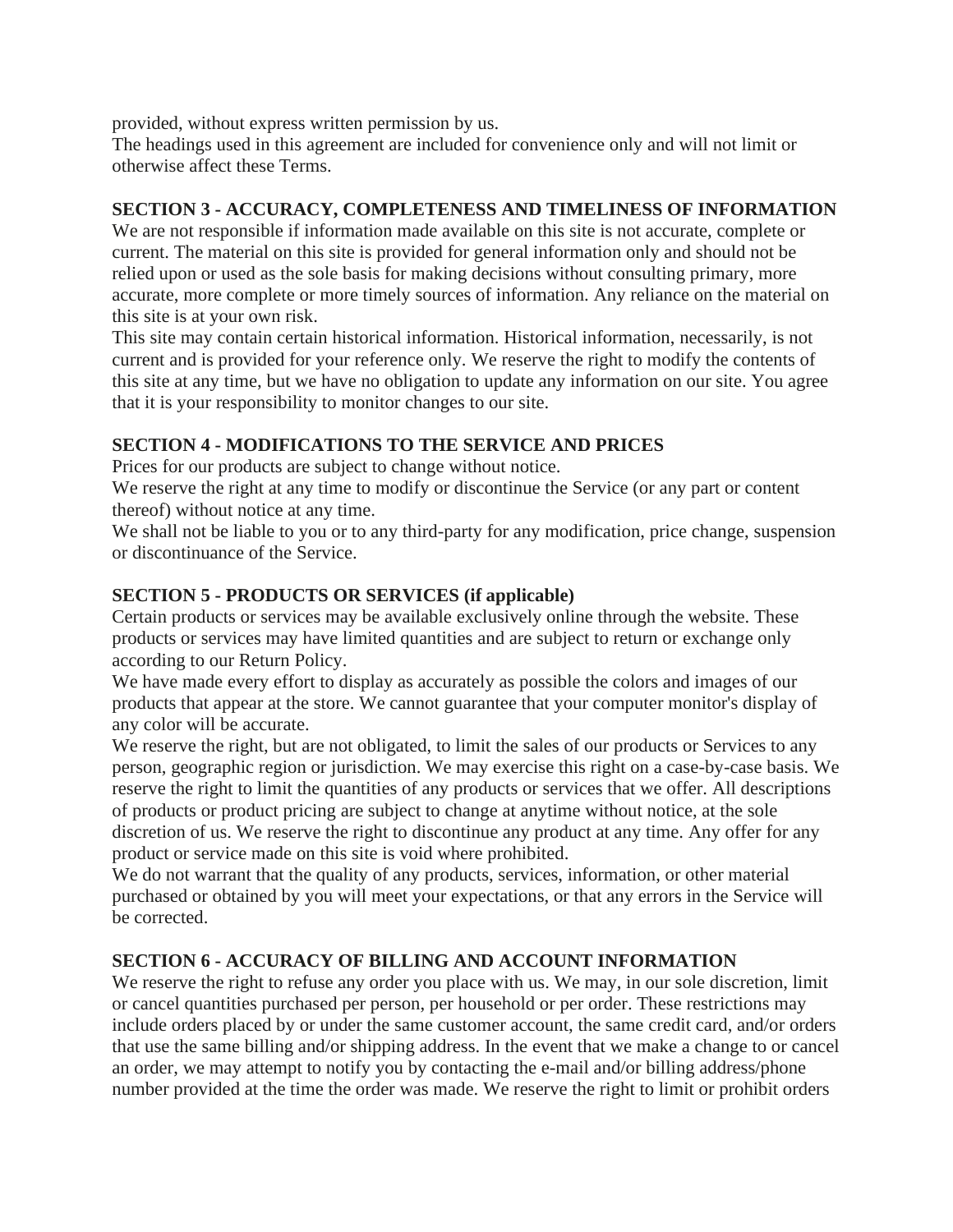provided, without express written permission by us.

The headings used in this agreement are included for convenience only and will not limit or otherwise affect these Terms.

### **SECTION 3 - ACCURACY, COMPLETENESS AND TIMELINESS OF INFORMATION**

We are not responsible if information made available on this site is not accurate, complete or current. The material on this site is provided for general information only and should not be relied upon or used as the sole basis for making decisions without consulting primary, more accurate, more complete or more timely sources of information. Any reliance on the material on this site is at your own risk.

This site may contain certain historical information. Historical information, necessarily, is not current and is provided for your reference only. We reserve the right to modify the contents of this site at any time, but we have no obligation to update any information on our site. You agree that it is your responsibility to monitor changes to our site.

# **SECTION 4 - MODIFICATIONS TO THE SERVICE AND PRICES**

Prices for our products are subject to change without notice.

We reserve the right at any time to modify or discontinue the Service (or any part or content thereof) without notice at any time.

We shall not be liable to you or to any third-party for any modification, price change, suspension or discontinuance of the Service.

# **SECTION 5 - PRODUCTS OR SERVICES (if applicable)**

Certain products or services may be available exclusively online through the website. These products or services may have limited quantities and are subject to return or exchange only according to our Return Policy.

We have made every effort to display as accurately as possible the colors and images of our products that appear at the store. We cannot guarantee that your computer monitor's display of any color will be accurate.

We reserve the right, but are not obligated, to limit the sales of our products or Services to any person, geographic region or jurisdiction. We may exercise this right on a case-by-case basis. We reserve the right to limit the quantities of any products or services that we offer. All descriptions of products or product pricing are subject to change at anytime without notice, at the sole discretion of us. We reserve the right to discontinue any product at any time. Any offer for any product or service made on this site is void where prohibited.

We do not warrant that the quality of any products, services, information, or other material purchased or obtained by you will meet your expectations, or that any errors in the Service will be corrected.

# **SECTION 6 - ACCURACY OF BILLING AND ACCOUNT INFORMATION**

We reserve the right to refuse any order you place with us. We may, in our sole discretion, limit or cancel quantities purchased per person, per household or per order. These restrictions may include orders placed by or under the same customer account, the same credit card, and/or orders that use the same billing and/or shipping address. In the event that we make a change to or cancel an order, we may attempt to notify you by contacting the e-mail and/or billing address/phone number provided at the time the order was made. We reserve the right to limit or prohibit orders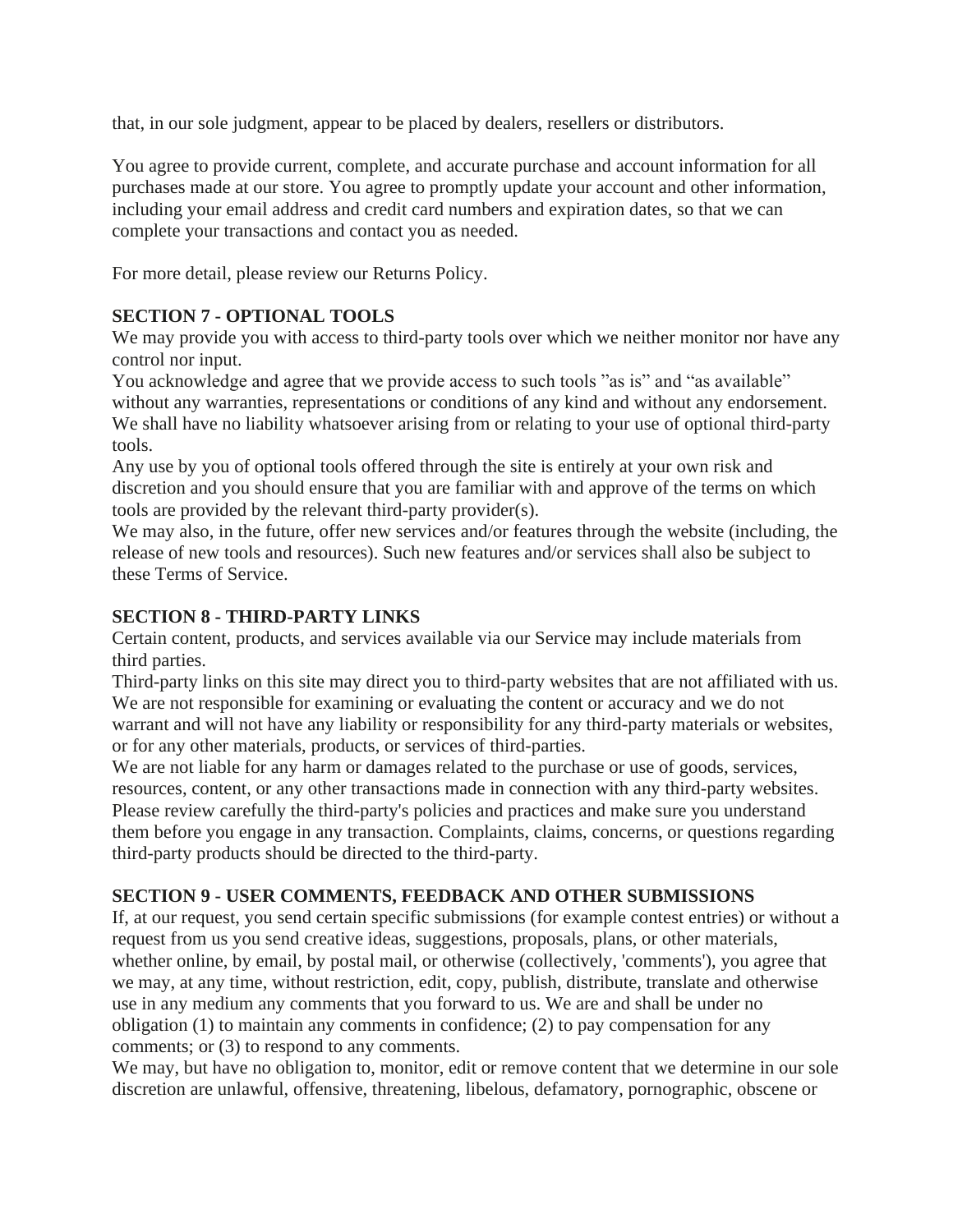that, in our sole judgment, appear to be placed by dealers, resellers or distributors.

You agree to provide current, complete, and accurate purchase and account information for all purchases made at our store. You agree to promptly update your account and other information, including your email address and credit card numbers and expiration dates, so that we can complete your transactions and contact you as needed.

For more detail, please review our Returns Policy.

## **SECTION 7 - OPTIONAL TOOLS**

We may provide you with access to third-party tools over which we neither monitor nor have any control nor input.

You acknowledge and agree that we provide access to such tools "as is" and "as available" without any warranties, representations or conditions of any kind and without any endorsement. We shall have no liability whatsoever arising from or relating to your use of optional third-party tools.

Any use by you of optional tools offered through the site is entirely at your own risk and discretion and you should ensure that you are familiar with and approve of the terms on which tools are provided by the relevant third-party provider(s).

We may also, in the future, offer new services and/or features through the website (including, the release of new tools and resources). Such new features and/or services shall also be subject to these Terms of Service.

#### **SECTION 8 - THIRD-PARTY LINKS**

Certain content, products, and services available via our Service may include materials from third parties.

Third-party links on this site may direct you to third-party websites that are not affiliated with us. We are not responsible for examining or evaluating the content or accuracy and we do not warrant and will not have any liability or responsibility for any third-party materials or websites, or for any other materials, products, or services of third-parties.

We are not liable for any harm or damages related to the purchase or use of goods, services, resources, content, or any other transactions made in connection with any third-party websites. Please review carefully the third-party's policies and practices and make sure you understand them before you engage in any transaction. Complaints, claims, concerns, or questions regarding third-party products should be directed to the third-party.

#### **SECTION 9 - USER COMMENTS, FEEDBACK AND OTHER SUBMISSIONS**

If, at our request, you send certain specific submissions (for example contest entries) or without a request from us you send creative ideas, suggestions, proposals, plans, or other materials, whether online, by email, by postal mail, or otherwise (collectively, 'comments'), you agree that we may, at any time, without restriction, edit, copy, publish, distribute, translate and otherwise use in any medium any comments that you forward to us. We are and shall be under no obligation (1) to maintain any comments in confidence; (2) to pay compensation for any comments; or (3) to respond to any comments.

We may, but have no obligation to, monitor, edit or remove content that we determine in our sole discretion are unlawful, offensive, threatening, libelous, defamatory, pornographic, obscene or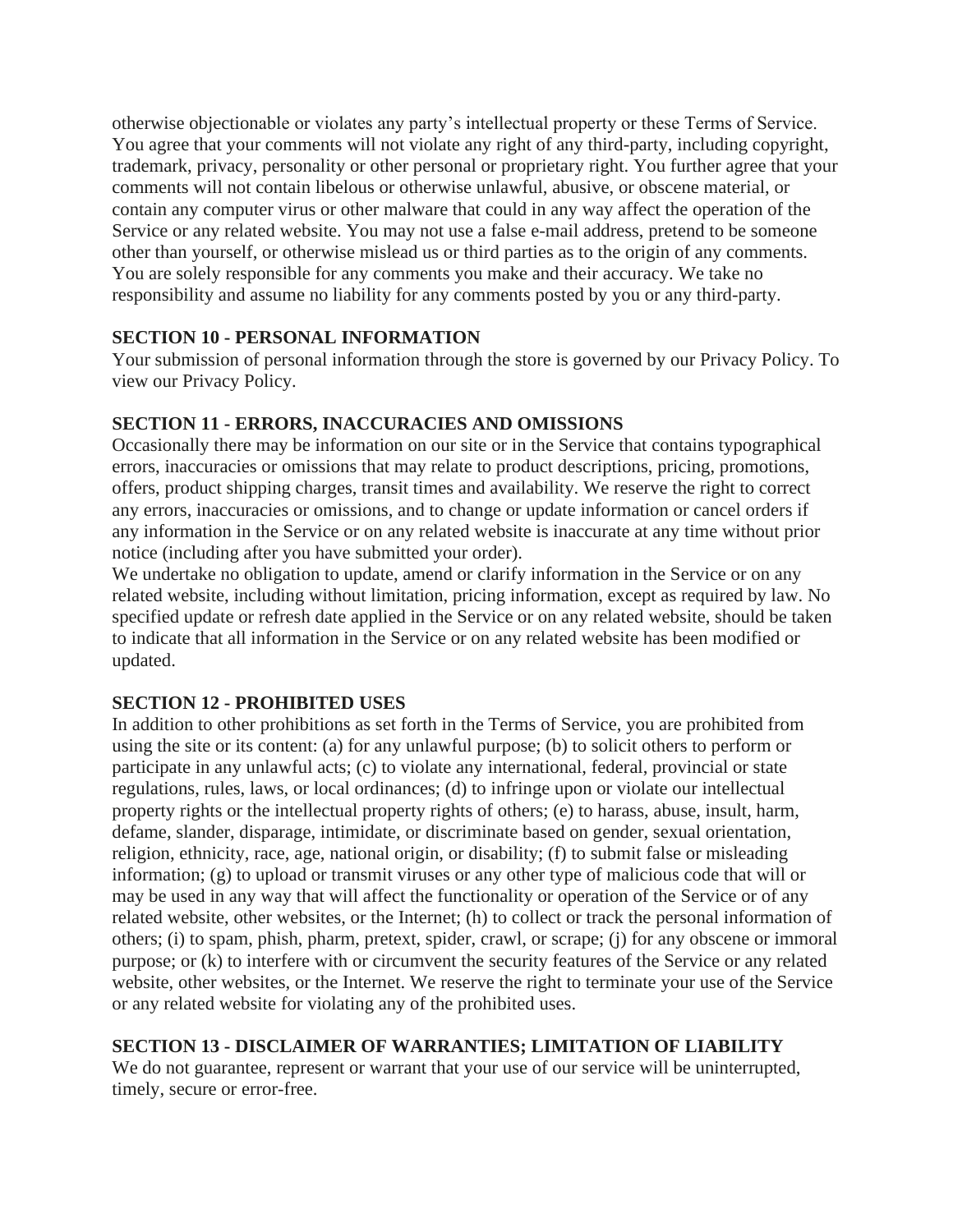otherwise objectionable or violates any party's intellectual property or these Terms of Service. You agree that your comments will not violate any right of any third-party, including copyright, trademark, privacy, personality or other personal or proprietary right. You further agree that your comments will not contain libelous or otherwise unlawful, abusive, or obscene material, or contain any computer virus or other malware that could in any way affect the operation of the Service or any related website. You may not use a false e-mail address, pretend to be someone other than yourself, or otherwise mislead us or third parties as to the origin of any comments. You are solely responsible for any comments you make and their accuracy. We take no responsibility and assume no liability for any comments posted by you or any third-party.

#### **SECTION 10 - PERSONAL INFORMATION**

Your submission of personal information through the store is governed by our Privacy Policy. To view our Privacy Policy.

#### **SECTION 11 - ERRORS, INACCURACIES AND OMISSIONS**

Occasionally there may be information on our site or in the Service that contains typographical errors, inaccuracies or omissions that may relate to product descriptions, pricing, promotions, offers, product shipping charges, transit times and availability. We reserve the right to correct any errors, inaccuracies or omissions, and to change or update information or cancel orders if any information in the Service or on any related website is inaccurate at any time without prior notice (including after you have submitted your order).

We undertake no obligation to update, amend or clarify information in the Service or on any related website, including without limitation, pricing information, except as required by law. No specified update or refresh date applied in the Service or on any related website, should be taken to indicate that all information in the Service or on any related website has been modified or updated.

#### **SECTION 12 - PROHIBITED USES**

In addition to other prohibitions as set forth in the Terms of Service, you are prohibited from using the site or its content: (a) for any unlawful purpose; (b) to solicit others to perform or participate in any unlawful acts; (c) to violate any international, federal, provincial or state regulations, rules, laws, or local ordinances; (d) to infringe upon or violate our intellectual property rights or the intellectual property rights of others; (e) to harass, abuse, insult, harm, defame, slander, disparage, intimidate, or discriminate based on gender, sexual orientation, religion, ethnicity, race, age, national origin, or disability; (f) to submit false or misleading information; (g) to upload or transmit viruses or any other type of malicious code that will or may be used in any way that will affect the functionality or operation of the Service or of any related website, other websites, or the Internet; (h) to collect or track the personal information of others; (i) to spam, phish, pharm, pretext, spider, crawl, or scrape; (j) for any obscene or immoral purpose; or (k) to interfere with or circumvent the security features of the Service or any related website, other websites, or the Internet. We reserve the right to terminate your use of the Service or any related website for violating any of the prohibited uses.

# **SECTION 13 - DISCLAIMER OF WARRANTIES; LIMITATION OF LIABILITY**

We do not guarantee, represent or warrant that your use of our service will be uninterrupted, timely, secure or error-free.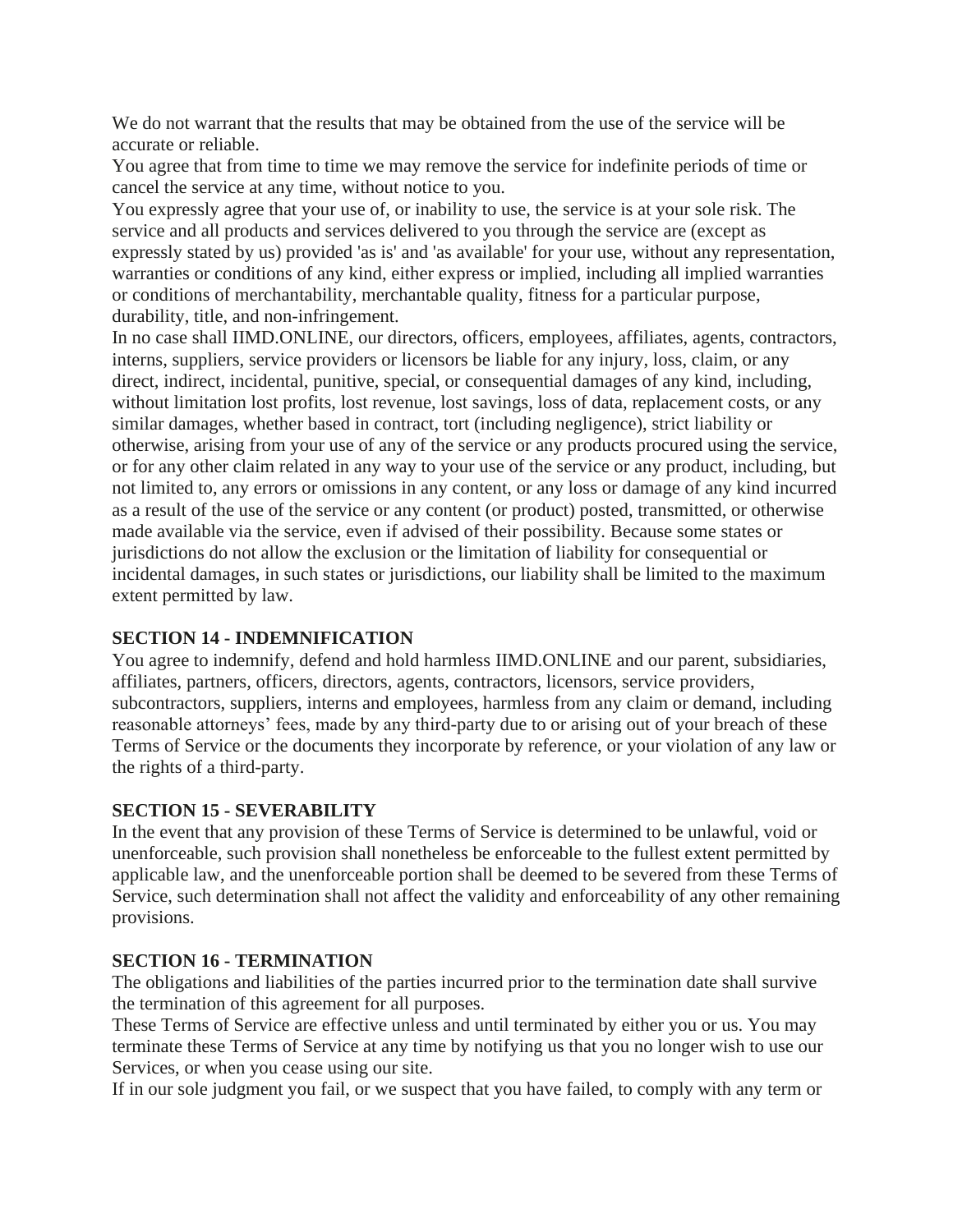We do not warrant that the results that may be obtained from the use of the service will be accurate or reliable.

You agree that from time to time we may remove the service for indefinite periods of time or cancel the service at any time, without notice to you.

You expressly agree that your use of, or inability to use, the service is at your sole risk. The service and all products and services delivered to you through the service are (except as expressly stated by us) provided 'as is' and 'as available' for your use, without any representation, warranties or conditions of any kind, either express or implied, including all implied warranties or conditions of merchantability, merchantable quality, fitness for a particular purpose, durability, title, and non-infringement.

In no case shall IIMD.ONLINE, our directors, officers, employees, affiliates, agents, contractors, interns, suppliers, service providers or licensors be liable for any injury, loss, claim, or any direct, indirect, incidental, punitive, special, or consequential damages of any kind, including, without limitation lost profits, lost revenue, lost savings, loss of data, replacement costs, or any similar damages, whether based in contract, tort (including negligence), strict liability or otherwise, arising from your use of any of the service or any products procured using the service, or for any other claim related in any way to your use of the service or any product, including, but not limited to, any errors or omissions in any content, or any loss or damage of any kind incurred as a result of the use of the service or any content (or product) posted, transmitted, or otherwise made available via the service, even if advised of their possibility. Because some states or jurisdictions do not allow the exclusion or the limitation of liability for consequential or incidental damages, in such states or jurisdictions, our liability shall be limited to the maximum extent permitted by law.

#### **SECTION 14 - INDEMNIFICATION**

You agree to indemnify, defend and hold harmless IIMD.ONLINE and our parent, subsidiaries, affiliates, partners, officers, directors, agents, contractors, licensors, service providers, subcontractors, suppliers, interns and employees, harmless from any claim or demand, including reasonable attorneys' fees, made by any third-party due to or arising out of your breach of these Terms of Service or the documents they incorporate by reference, or your violation of any law or the rights of a third-party.

#### **SECTION 15 - SEVERABILITY**

In the event that any provision of these Terms of Service is determined to be unlawful, void or unenforceable, such provision shall nonetheless be enforceable to the fullest extent permitted by applicable law, and the unenforceable portion shall be deemed to be severed from these Terms of Service, such determination shall not affect the validity and enforceability of any other remaining provisions.

#### **SECTION 16 - TERMINATION**

The obligations and liabilities of the parties incurred prior to the termination date shall survive the termination of this agreement for all purposes.

These Terms of Service are effective unless and until terminated by either you or us. You may terminate these Terms of Service at any time by notifying us that you no longer wish to use our Services, or when you cease using our site.

If in our sole judgment you fail, or we suspect that you have failed, to comply with any term or